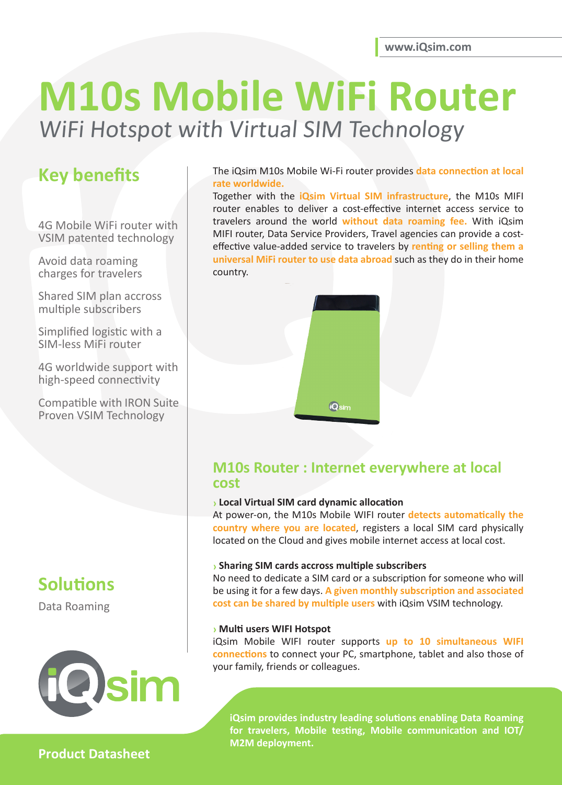# **M10s Mobile WiFi Router**  WiFi Hotspot with Virtual SIM Technology

# **Key benefits**

4G Mobile WiFi router with VSIM patented technology

Avoid data roaming charges for travelers

Shared SIM plan accross multiple subscribers

Simplified logistic with a SIM-less MiFi router

4G worldwide support with high-speed connectivity

Compatible with IRON Suite Proven VSIM Technology



Data Roaming



#### The iQsim M10s Mobile Wi-Fi router provides **data connection at local rate worldwide.**

Together with the **iQsim Virtual SIM infrastructure**, the M10s MIFI router enables to deliver a cost-effective internet access service to travelers around the world **without data roaming fee.** With iQsim MIFI router, Data Service Providers, Travel agencies can provide a costeffective value-added service to travelers by **renting or selling them a universal MiFi router to use data abroad** such as they do in their home country.



### **M10s Router : Internet everywhere at local cost**

#### **› Local Virtual SIM card dynamic allocation**

At power-on, the M10s Mobile WIFI router **detects automatically the country where you are located**, registers a local SIM card physically located on the Cloud and gives mobile internet access at local cost.

#### **› Sharing SIM cards accross multiple subscribers**

No need to dedicate a SIM card or a subscription for someone who will be using it for a few days. **A given monthly subscription and associated cost can be shared by multiple users** with iQsim VSIM technology.

#### **› Multi users WIFI Hotspot**

iQsim Mobile WIFI router supports **up to 10 simultaneous WIFI connections** to connect your PC, smartphone, tablet and also those of your family, friends or colleagues.

**iQsim provides industry leading solutions enabling Data Roaming for travelers, Mobile testing, Mobile communication and IOT/ M2M deployment.**

### **Product Datasheet**